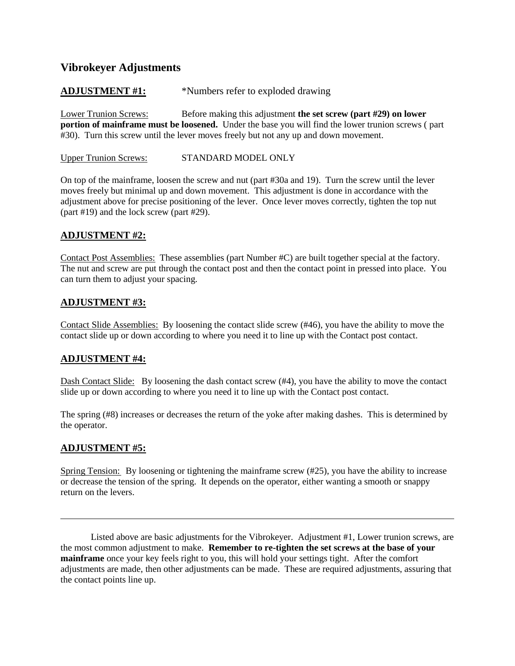# **Vibrokeyer Adjustments**

## **ADJUSTMENT #1:** \*Numbers refer to exploded drawing

Lower Trunion Screws: Before making this adjustment **the set screw (part #29) on lower portion of mainframe must be loosened.** Under the base you will find the lower trunion screws ( part #30). Turn this screw until the lever moves freely but not any up and down movement.

Upper Trunion Screws: STANDARD MODEL ONLY

On top of the mainframe, loosen the screw and nut (part #30a and 19). Turn the screw until the lever moves freely but minimal up and down movement. This adjustment is done in accordance with the adjustment above for precise positioning of the lever. Once lever moves correctly, tighten the top nut (part #19) and the lock screw (part #29).

### **ADJUSTMENT #2:**

Contact Post Assemblies: These assemblies (part Number #C) are built together special at the factory. The nut and screw are put through the contact post and then the contact point in pressed into place. You can turn them to adjust your spacing.

### **ADJUSTMENT #3:**

Contact Slide Assemblies: By loosening the contact slide screw (#46), you have the ability to move the contact slide up or down according to where you need it to line up with the Contact post contact.

## **ADJUSTMENT #4:**

Dash Contact Slide: By loosening the dash contact screw (#4), you have the ability to move the contact slide up or down according to where you need it to line up with the Contact post contact.

The spring (#8) increases or decreases the return of the yoke after making dashes. This is determined by the operator.

#### **ADJUSTMENT #5:**

l

Spring Tension: By loosening or tightening the mainframe screw (#25), you have the ability to increase or decrease the tension of the spring. It depends on the operator, either wanting a smooth or snappy return on the levers.

Listed above are basic adjustments for the Vibrokeyer. Adjustment #1, Lower trunion screws, are the most common adjustment to make. **Remember to re-tighten the set screws at the base of your mainframe** once your key feels right to you, this will hold your settings tight. After the comfort adjustments are made, then other adjustments can be made. These are required adjustments, assuring that the contact points line up.